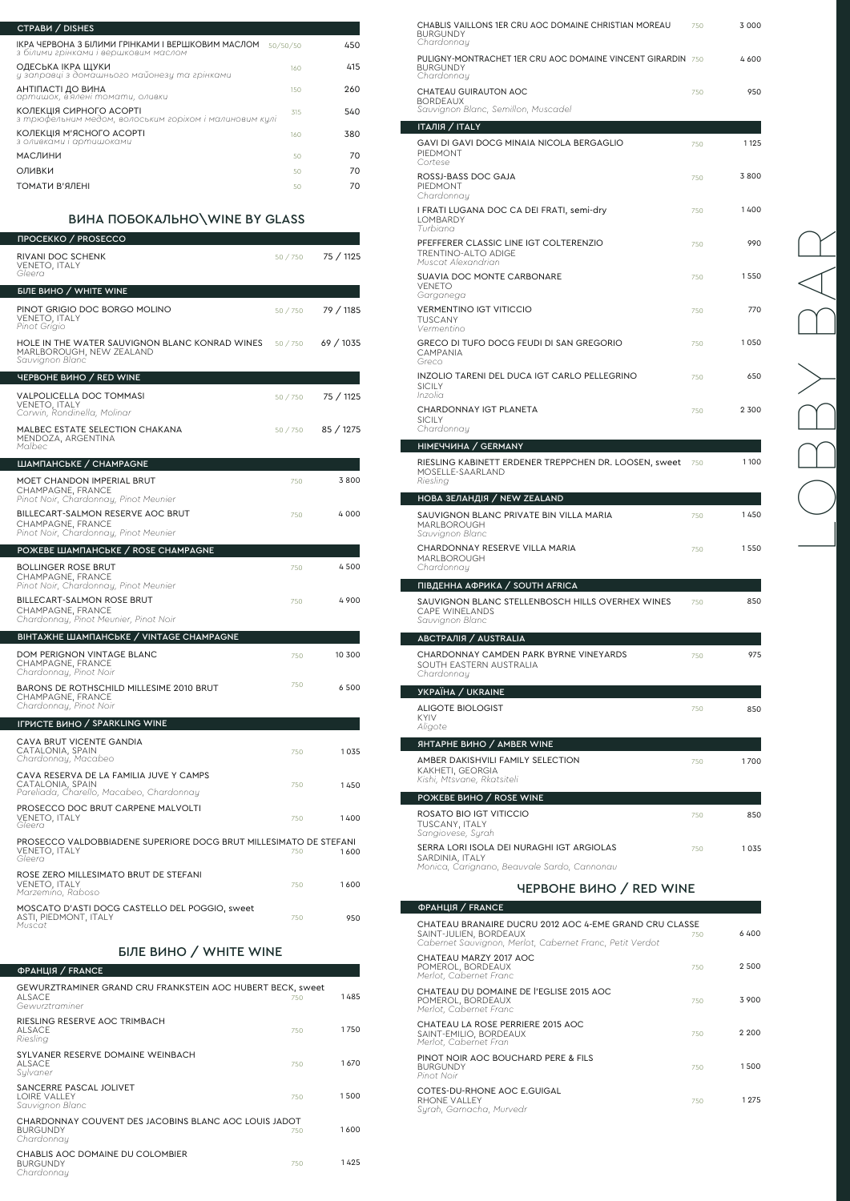| <b>CTPABH / DISHES</b>                                                                    |          |     |
|-------------------------------------------------------------------------------------------|----------|-----|
| ІКРА ЧЕРВОНА З БІЛИМИ ГРІНКАМИ І ВЕРШКОВИМ МАСЛОМ<br>з білими грінками і вершковим маслом | 50/50/50 | 450 |
| ОДЕСЬКА ІКРА ЩУКИ<br>и заправиі з домашнього майонези та грінками                         | 160      | 415 |
| АНТІПАСТІ ДО ВИНА<br>артишок, в'ялені томати, оливки                                      | 150      | 260 |
| КОЛЕКЦІЯ СИРНОГО АСОРТІ<br>з трюфельним медом, волоським горіхом і малиновим кулі         | 315      | 540 |
| КОЛЕКЦІЯ М'ЯСНОГО АСОРТІ<br>з оливками і артишоками                                       | 160      | 380 |
| <b>МАСЛИНИ</b>                                                                            | 50       | 70  |
| ОЛИВКИ                                                                                    | 50       | 70  |
| ТОМАТИ В'ЯЛЕНІ                                                                            | 50       | 70  |

# ВИНА ПОБОКАЛЬНО\WINE BY GLASS

| <b><i>IPOCEKKO / PROSECCO</i></b>                                                                       |          |           |
|---------------------------------------------------------------------------------------------------------|----------|-----------|
| RIVANI DOC SCHENK<br>VENETO, ITALY<br>Gleera                                                            | 50 / 750 | 75 / 1125 |
| <b>БІЛЕ ВИНО / WHITE WINE</b>                                                                           |          |           |
| PINOT GRIGIO DOC BORGO MOLINO<br><b>VENETO, ITALY</b><br>Pinot Grigio                                   | 50 / 750 | 79 / 1185 |
| HOLE IN THE WATER SAUVIGNON BLANC KONRAD WINES<br>MARLBOROUGH, NEW ZEALAND<br>Sauvignon Blanc           | 50 / 750 | 69/1035   |
| ЧЕРВОНЕ ВИНО / RED WINE                                                                                 |          |           |
| <b>VALPOLICELLA DOC TOMMASI</b><br><b>VENETO, ITALY</b><br>Corwin, Rondinella, Molinar                  | 50 / 750 | 75 / 1125 |
| MALBEC ESTATE SELECTION CHAKANA<br>MENDOZA, ARGENTINA<br>Malbec                                         | 50 / 750 | 85 / 1275 |
| ШАМПАНСЬКЕ / СНАМРАGNE                                                                                  |          |           |
| <b>MOET CHANDON IMPERIAL BRUT</b><br>CHAMPAGNE, FRANCE<br>Pinot Noir, Chardonnay, Pinot Meunier         | 750      | 3800      |
| <b>BILLECART-SALMON RESERVE AOC BRUT</b><br>CHAMPAGNE, FRANCE<br>Pinot Noir, Chardonnay, Pinot Meunier  | 750      | 4 000     |
| РОЖЕВЕ ШАМПАНСЬКЕ / ROSE CHAMPAGNE                                                                      |          |           |
| <b>BOLLINGER ROSE BRUT</b><br>CHAMPAGNE, FRANCE<br>Pinot Noir, Chardonnay, Pinot Meunier                | 750      | 4 500     |
| <b>BILLECART-SALMON ROSE BRUT</b><br>CHAMPAGNE, FRANCE<br>Chardonnay, Pinot Meunier, Pinot Noir         | 750      | 4900      |
| <b>ВІНТАЖНЕ ШАМПАНСЬКЕ / VINTAGE CHAMPAGNE</b>                                                          |          |           |
| DOM PERIGNON VINTAGE BLANC<br>CHAMPAGNE, FRANCE<br>Chardonnay, Pinot Noir                               | 750      | 10 300    |
| BARONS DE ROTHSCHILD MILLESIME 2010 BRUT<br>CHAMPAGNE, FRANCE<br>Chardonnay, Pinot Noir                 | 750      | 6 500     |
| <b>IFPUCTE BUHO / SPARKLING WINE</b>                                                                    |          |           |
| CAVA BRUT VICENTE GANDIA<br>CATALONIA, SPAIN<br>Chardonnau, Macabeo                                     | 750      | 1035      |
| CAVA RESERVA DE LA FAMILIA JUVE Y CAMPS<br>CATALONIA, SPAIN<br>Pareliada, Charello, Macabeo, Chardonnay | 750      | 1450      |
| PROSECCO DOC BRUT CARPENE MALVOLTI<br>VENETO, ITALY<br>Gleera                                           | 750      | 1400      |
| PROSECCO VALDOBBIADENE SUPERIORE DOCG BRUT MILLESIMATO DE STEFANI<br>VENETO, ITALY<br>Gleera            | 750      | 1600      |
| ROSE ZERO MILLESIMATO BRUT DE STEFANI<br>VENETO, ITALY<br>Marzemino, Raboso                             | 750      | 1600      |

### MOSCATO D'ASTI DOCG CASTELLO DEL POGGIO, sweet ASTI, PIEDMONT, ITALY *Muscat*

750

950

| GEWURZTRAMINER GRAND CRU FRANKSTEIN AOC HUBERT BECK, sweet<br><b>ALSACE</b><br>Gewurztraminer | 750 | 1 485 |
|-----------------------------------------------------------------------------------------------|-----|-------|
| RIESLING RESERVE AOC TRIMBACH<br><b>ALSACE</b><br>Riesling                                    | 750 | 1750  |
| SYLVANER RESERVE DOMAINE WEINBACH<br>ALSACE<br>Sylvaner                                       | 750 | 1670  |
| SANCERRE PASCAL JOLIVET<br>LOIRE VALLEY<br>Sauvignon Blanc                                    | 750 | 1500  |
| CHARDONNAY COUVENT DES JACOBINS BLANC AOC LOUIS JADOT<br><b>BURGUNDY</b><br>Chardonnay        | 750 | 1600  |
| CHABLIS AOC DOMAINE DU COLOMBIER<br><b>BURGUNDY</b><br>Chardonnau                             | 750 | 1425  |

### $\mathfrak{p}$ рранція / FR $\mu$

### ФРАНЦІЯ / FRANCE

# LOBBY BAR $\left\backslash$

## БІЛЕ ВИНО / WHITE WINE

| CHABLIS VAILLONS 1ER CRU AOC DOMAINE CHRISTIAN MOREAU<br><b>BURGUNDY</b><br>Chardonnay       | 750 | 3 0 0 0 |
|----------------------------------------------------------------------------------------------|-----|---------|
| PULIGNY-MONTRACHET 1ER CRU AOC DOMAINE VINCENT GIRARDIN 750<br><b>BURGUNDY</b><br>Chardonnay |     | 4600    |
| <b>CHATEAU GUIRAUTON AOC</b><br><b>BORDEAUX</b><br>Sauvignon Blanc, Semillon, Muscadel       | 750 | 950     |
| <b>ITAЛIЯ / ITALY</b>                                                                        |     |         |
| GAVI DI GAVI DOCG MINAIA NICOLA BERGAGLIO<br>PIEDMONT<br>Cortese                             | 750 | 1 1 2 5 |
| ROSSJ-BASS DOC GAJA<br>PIEDMONT<br>Chardonnau                                                | 750 | 3800    |
| I FRATI LUGANA DOC CA DEI FRATI, semi-dry<br>LOMBARDY<br>Turbiana                            | 750 | 1400    |
| PFEFFERER CLASSIC LINE IGT COLTERENZIO<br><b>TRENTINO-ALTO ADIGE</b><br>Muscat Alexandrian   | 750 | 990     |
| <b>SUAVIA DOC MONTE CARBONARE</b><br><b>VENETO</b><br>Garganega                              | 750 | 1550    |
| VERMENTINO IGT VITICCIO<br>TUSCANY<br>Vermentino                                             | 750 | 770     |
| GRECO DI TUFO DOCG FEUDI DI SAN GREGORIO<br>CAMPANIA<br>Greco                                | 750 | 1050    |
| INZOLIO TARENI DEL DUCA IGT CARLO PELLEGRINO<br>SICILY<br>Inzolia                            | 750 | 650     |
| <b>CHARDONNAY IGT PLANETA</b><br><b>SICILY</b><br>Chardonnay                                 | 750 | 2 3 0 0 |
| <b>HIMEYYUHA / GERMANY</b>                                                                   |     |         |
| RIESLING KABINETT ERDENER TREPPCHEN DR. LOOSEN, sweet<br>MOSELLE-SAARLAND<br>Riesling        | 750 | 1100    |
| НОВА ЗЕЛАНДІЯ / NEW ZEALAND                                                                  |     |         |
| SAUVIGNON BLANC PRIVATE BIN VILLA MARIA<br><b>MARLBOROUGH</b><br>Sauvignon Blanc             | 750 | 1450    |
| CHARDONNAY RESERVE VILLA MARIA<br><b>MARLBOROUGH</b><br>Chardonnay                           | 750 | 1550    |
| ПІВДЕННА АФРИКА / SOUTH AFRICA                                                               |     |         |
| SAUVIGNON BLANC STELLENBOSCH HILLS OVERHEX WINES<br><b>CAPE WINELANDS</b><br>Sauvignon Blanc | 750 | 850     |
| <b>ABCTPAЛIЯ / AUSTRALIA</b>                                                                 |     |         |
| CHARDONNAY CAMDEN PARK BYRNE VINEYARDS<br>SOUTH EASTERN AUSTRALIA<br>Chardonnay              | 750 | 975     |
| <b><i>YKPAÏHA / UKRAINE</i></b>                                                              |     |         |
| <b>ALIGOTE BIOLOGIST</b><br><b>KYIV</b><br>Aligote                                           | 750 | 850     |
| <b>ЯНТАРНЕ ВИНО / AMBER WINE</b>                                                             |     |         |
| AMBER DAKISHVILI FAMILY SELECTION<br>KAKHETI, GEORGIA<br>Kishi, Mtsvane, Rkatsiteli          | 750 | 1700    |

| POЖЕВЕ ВИНО / ROSE WINE                                                                                     |     |         |
|-------------------------------------------------------------------------------------------------------------|-----|---------|
| ROSATO BIO IGT VITICCIO<br><b>TUSCANY, ITALY</b><br>Sangiovese, Surah                                       | 750 | 850     |
| SERRA LORI ISOLA DEI NURAGHI IGT ARGIOLAS<br>SARDINIA, ITALY<br>Monica, Carignano, Beauvale Sardo, Cannonau | 750 | 1 0.3.5 |

| CHATEAU BRANAIRE DUCRU 2012 AOC 4-EME GRAND CRU CLASSE<br>SAINT-JULIEN, BORDEAUX<br>Cabernet Sauvignon, Merlot, Cabernet Franc, Petit Verdot | 750 | 6 400   |
|----------------------------------------------------------------------------------------------------------------------------------------------|-----|---------|
| CHATEAU MARZY 2017 AOC<br>POMEROL, BORDEAUX<br>Merlot, Cabernet Franc                                                                        | 750 | 2 500   |
| CHATEAU DU DOMAINE DE l'EGLISE 2015 AOC<br>POMEROL, BORDEAUX<br>Merlot, Cabernet Franc                                                       | 750 | 3 900   |
| CHATEAU LA ROSE PERRIERE 2015 AOC<br>SAINT-EMILIO, BORDEAUX<br>Merlot, Cabernet Fran                                                         | 750 | 2 2 0 0 |
| PINOT NOIR AOC BOUCHARD PERE & FILS<br><b>BURGUNDY</b><br>Pinot Noir                                                                         | 750 | 1500    |
| COTES-DU-RHONE AOC E.GUIGAL<br>RHONE VALLEY<br>Surah, Garnacha, Murvedr                                                                      | 750 | 1 2 7 5 |

ЧЕРВОНЕ ВИНО / RED WINE